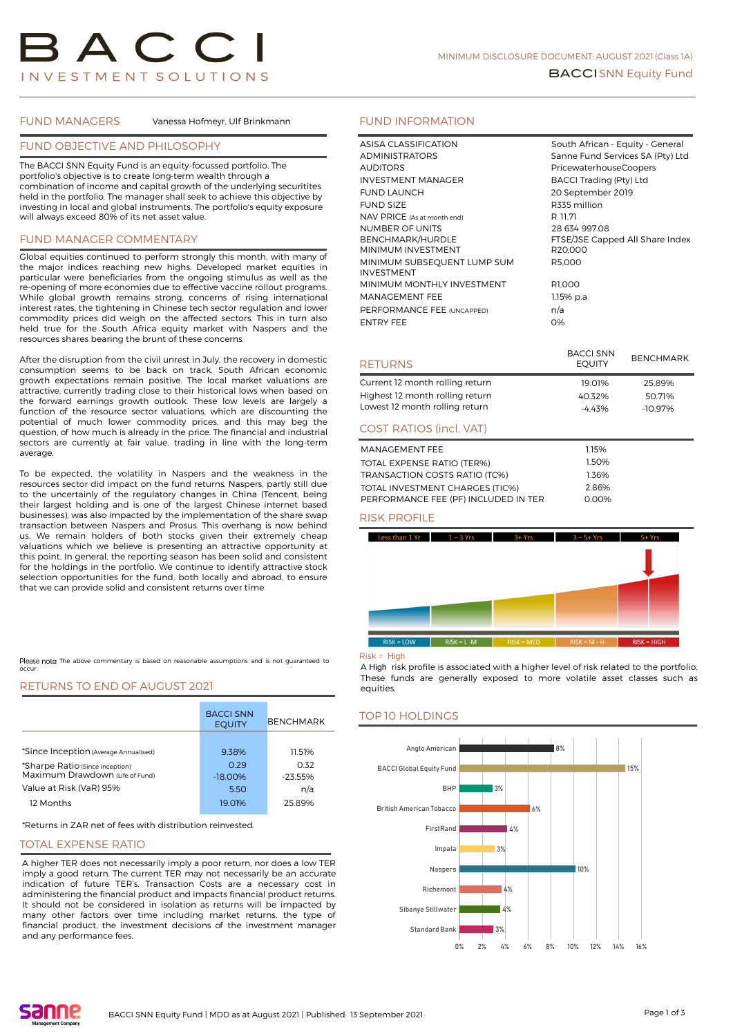FUND MANAGERS Vanessa Hofmeyr, Ulf Brinkmann

# FUND OBJECTIVE AND PHILOSOPHY

The BACCI SNN Equity Fund is an equity-focussed portfolio. The portfolio's objective is to create long-term wealth through a combination of income and capital growth of the underlying securitites held in the portfolio. The manager shall seek to achieve this objective by investing in local and global instruments. The portfolio's equity exposure will always exceed 80% of its net asset value.

# FUND MANAGER COMMENTARY

Global equities continued to perform strongly this month, with many of the major indices reaching new highs. Developed market equities in particular were beneficiaries from the ongoing stimulus as well as the re-opening of more economies due to effective vaccine rollout programs. While global growth remains strong, concerns of rising international interest rates, the tightening in Chinese tech sector regulation and lower commodity prices did weigh on the affected sectors. This in turn also held true for the South Africa equity market with Naspers and the resources shares bearing the brunt of these concerns.

After the disruption from the civil unrest in July, the recovery in domestic consumption seems to be back on track. South African economic growth expectations remain positive. The local market valuations are attractive, currently trading close to their historical lows when based on the forward earnings growth outlook. These low levels are largely a function of the resource sector valuations, which are discounting the potential of much lower commodity prices, and this may beg the question, of how much is already in the price. The financial and industrial sectors are currently at fair value, trading in line with the long-term average.

To be expected, the volatility in Naspers and the weakness in the resources sector did impact on the fund returns. Naspers, partly still due to the uncertainly of the regulatory changes in China (Tencent, being their largest holding and is one of the largest Chinese internet based businesses), was also impacted by the implementation of the share swap transaction between Naspers and Prosus. This overhang is now behind us. We remain holders of both stocks given their extremely cheap valuations which we believe is presenting an attractive opportunity at this point. In general, the reporting season has been solid and consistent for the holdings in the portfolio. We continue to identify attractive stock selection opportunities for the fund, both locally and abroad, to ensure that we can provide solid and consistent returns over time

Please note: The above commentary is based on reasonable assumptions and is not guaranteed to occur.

## RETURNS TO END OF AUGUST 2021

|                                                                    | <b>BACCI SNN</b><br><b>EOUITY</b> | <b>BENCHMARK</b> |
|--------------------------------------------------------------------|-----------------------------------|------------------|
|                                                                    |                                   |                  |
| *Since Inception (Average Annualised)                              | 9.38%                             | 11.51%           |
| *Sharpe Ratio (Since Inception)<br>Maximum Drawdown (Life of Fund) | 0.29                              | 0.32             |
|                                                                    | $-18.00\%$                        | $-23.55%$        |
| Value at Risk (VaR) 95%                                            | 5.50                              | n/a              |
| 12 Months                                                          | 19.01%                            | 25.89%           |

\*Returns in ZAR net of fees with distribution reinvested.

#### TOTAL EXPENSE RATIO

A higher TER does not necessarily imply a poor return, nor does a low TER imply a good return. The current TER may not necessarily be an accurate indication of future TER's. Transaction Costs are a necessary cost in administering the financial product and impacts financial product returns. It should not be considered in isolation as returns will be impacted by many other factors over time including market returns, the type of financial product, the investment decisions of the investment manager and any performance fees.

# FUND INFORMATION

| ASISA CLASSIFICATION        | South African - Equity - General |
|-----------------------------|----------------------------------|
| <b>ADMINISTRATORS</b>       | Sanne Fund Services SA (Pty) Ltd |
| <b>AUDITORS</b>             | PricewaterhouseCoopers           |
| <b>INVESTMENT MANAGER</b>   | <b>BACCI Trading (Pty) Ltd</b>   |
| <b>FUND LAUNCH</b>          | 20 September 2019                |
| <b>FUND SIZE</b>            | R335 million                     |
| NAV PRICE (As at month end) | R 11.71                          |
| NUMBER OF UNITS             | 28 634 997.08                    |
| <b>BENCHMARK/HURDLE</b>     | FTSE/JSE Capped All Share Index  |
| MINIMUM INVESTMENT          | R <sub>20</sub> ,000             |
| MINIMUM SUBSEQUENT LUMP SUM | R5.000                           |
| <b>INVESTMENT</b>           |                                  |
| MINIMUM MONTHLY INVESTMENT  | R1,000                           |
| <b>MANAGEMENT FEE</b>       | 1.15% p.a                        |
| PERFORMANCE FEE (UNCAPPED)  | n/a                              |
| <b>ENTRY FEE</b>            | 0%                               |
|                             |                                  |

| <b>RETURNS</b>                  | <b>BACCI SNN</b><br><b>EOUITY</b> | <b>BENCHMARK</b> |
|---------------------------------|-----------------------------------|------------------|
| Current 12 month rolling return | 19.01%                            | 25.89%           |
| Highest 12 month rolling return | 40.32%                            | 50.71%           |
| Lowest 12 month rolling return  | $-4.43%$                          | $-10.97%$        |
| <b>COST RATIOS (incl. VAT)</b>  |                                   |                  |
| MANAGEMENT FEE                  | 1.15%                             |                  |
| TOTAL EXPENSE RATIO (TER%)      | 1.50%                             |                  |
| TRANSACTION COSTS DATIO (TOM)   | 1.760 <sub>6</sub>                |                  |

| TOTAL EXPENSE RATIO (TER70)          | .     |
|--------------------------------------|-------|
| TRANSACTION COSTS RATIO (TC%)        | 1.36% |
| TOTAL INVESTMENT CHARGES (TIC%)      | 2.86% |
| PERFORMANCE FEE (PF) INCLUDED IN TER | 0.00% |
|                                      |       |

# RISK PROFILE



#### $Risk = Hich$

A High risk profile is associated with a higher level of risk related to the portfolio. These funds are generally exposed to more volatile asset classes such as equities.

## TOP 10 HOLDINGS

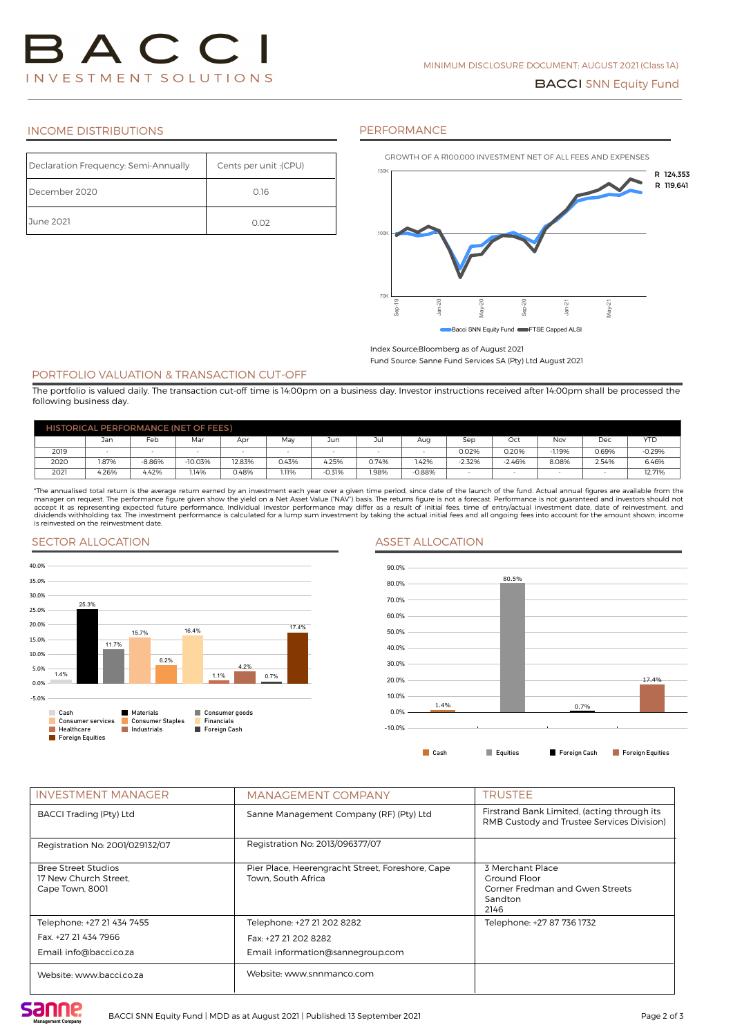# INCOME DISTRIBUTIONS

#### PERFORMANCE

| Declaration Frequency: Semi-Annually | (CPU): Cents per unit |
|--------------------------------------|-----------------------|
| December 2020                        | 0.16                  |
| June 2021                            | 0.02                  |



#### Index Source:Bloomberg as of August 2021

Fund Source: Sanne Fund Services SA (Pty) Ltd August 2021

#### PORTFOLIO VALUATION & TRANSACTION CUT-OFF

The portfolio is valued daily. The transaction cut-off time is 14:00pm on a business day. Investor instructions received after 14:00pm shall be processed the following business day.

| <b>HISTORICAL PERFORMANCE (NET OF FEES)</b> |       |          |           |        |       |          |       |          |          |          |            |       |            |
|---------------------------------------------|-------|----------|-----------|--------|-------|----------|-------|----------|----------|----------|------------|-------|------------|
|                                             | Jan   | Feb      | Mar       | Apr    | May   | Jun      | Ju    | Aua      | Sep      | Oct      | <b>Nov</b> | Dec   | <b>YTD</b> |
| 2019                                        |       |          |           |        |       |          |       |          | 0.02%    | 0.20%    | 1.19%      | 0.69% | $-0.29%$   |
| 2020                                        | .87%  | $-8.86%$ | $-10.03%$ | 12.83% | 0.43% | 4.25%    | 0.74% | 1.42%    | $-2.32%$ | $-2.46%$ | 8.08%      | 2.54% | 6.46%      |
| 2021                                        | 4.26% | 4.42%    | 1.14%     | 0.48%  | 1.11% | $-0.31%$ | 1.98% | $-0.88%$ | -        |          | -          |       | 12.71%     |

\*The annualised total return is the average return earned by an investment each year over a given time period, since date of the launch of the fund. Actual annual figures are available from the manager on request. The performance figure given show the yield on a Net Asset Value ("NAV") basis. The returns figure is not a forecast. Performance is not guaranteed and investors should not not not be vising the Vising is reinvested on the reinvestment date.

## SECTOR ALLOCATION ASSET ALLOCATION





| <b>INVESTMENT MANAGER</b>                                              | <b>MANAGEMENT COMPANY</b>                                              | TRUSTEE                                                                                   |
|------------------------------------------------------------------------|------------------------------------------------------------------------|-------------------------------------------------------------------------------------------|
| <b>BACCI Trading (Pty) Ltd</b>                                         | Sanne Management Company (RF) (Pty) Ltd                                | Firstrand Bank Limited, (acting through its<br>RMB Custody and Trustee Services Division) |
| Registration No: 2001/029132/07                                        | Registration No: 2013/096377/07                                        |                                                                                           |
| <b>Bree Street Studios</b><br>17 New Church Street.<br>Cape Town, 8001 | Pier Place, Heerengracht Street, Foreshore, Cape<br>Town, South Africa | 3 Merchant Place<br>Ground Floor<br>Corner Fredman and Gwen Streets<br>Sandton<br>2146    |
| Telephone: +27 21 434 7455                                             | Telephone: +27 21 202 8282                                             | Telephone: +27 87 736 1732                                                                |
| Fax. +27 21 434 7966                                                   | Fax: +27 21 202 8282                                                   |                                                                                           |
| Email: info@bacci.co.za                                                | Email: information@sannegroup.com                                      |                                                                                           |
| Website: www.bacci.co.za                                               | Website: www.snnmanco.com                                              |                                                                                           |